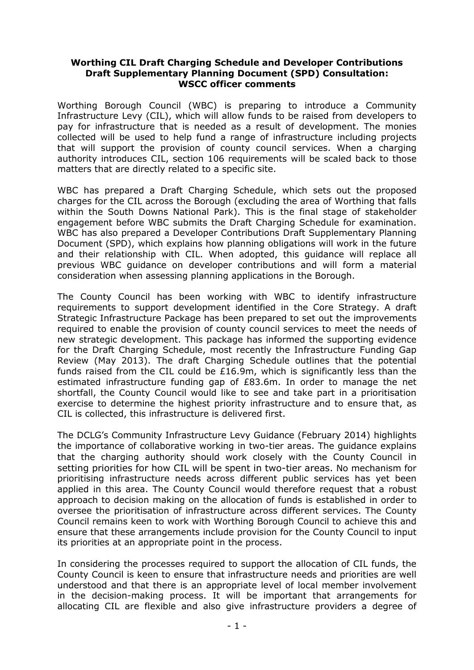## **Worthing CIL Draft Charging Schedule and Developer Contributions Draft Supplementary Planning Document (SPD) Consultation: WSCC officer comments**

Worthing Borough Council (WBC) is preparing to introduce a Community Infrastructure Levy (CIL), which will allow funds to be raised from developers to pay for infrastructure that is needed as a result of development. The monies collected will be used to help fund a range of infrastructure including projects that will support the provision of county council services. When a charging authority introduces CIL, section 106 requirements will be scaled back to those matters that are directly related to a specific site.

WBC has prepared a Draft Charging Schedule, which sets out the proposed charges for the CIL across the Borough (excluding the area of Worthing that falls within the South Downs National Park). This is the final stage of stakeholder engagement before WBC submits the Draft Charging Schedule for examination. WBC has also prepared a Developer Contributions Draft Supplementary Planning Document (SPD), which explains how planning obligations will work in the future and their relationship with CIL. When adopted, this guidance will replace all previous WBC guidance on developer contributions and will form a material consideration when assessing planning applications in the Borough.

The County Council has been working with WBC to identify infrastructure requirements to support development identified in the Core Strategy. A draft Strategic Infrastructure Package has been prepared to set out the improvements required to enable the provision of county council services to meet the needs of new strategic development. This package has informed the supporting evidence for the Draft Charging Schedule, most recently the Infrastructure Funding Gap Review (May 2013). The draft Charging Schedule outlines that the potential funds raised from the CIL could be £16.9m, which is significantly less than the estimated infrastructure funding gap of £83.6m. In order to manage the net shortfall, the County Council would like to see and take part in a prioritisation exercise to determine the highest priority infrastructure and to ensure that, as CIL is collected, this infrastructure is delivered first.

The DCLG's Community Infrastructure Levy Guidance (February 2014) highlights the importance of collaborative working in two-tier areas. The guidance explains that the charging authority should work closely with the County Council in setting priorities for how CIL will be spent in two-tier areas. No mechanism for prioritising infrastructure needs across different public services has yet been applied in this area. The County Council would therefore request that a robust approach to decision making on the allocation of funds is established in order to oversee the prioritisation of infrastructure across different services. The County Council remains keen to work with Worthing Borough Council to achieve this and ensure that these arrangements include provision for the County Council to input its priorities at an appropriate point in the process.

In considering the processes required to support the allocation of CIL funds, the County Council is keen to ensure that infrastructure needs and priorities are well understood and that there is an appropriate level of local member involvement in the decision-making process. It will be important that arrangements for allocating CIL are flexible and also give infrastructure providers a degree of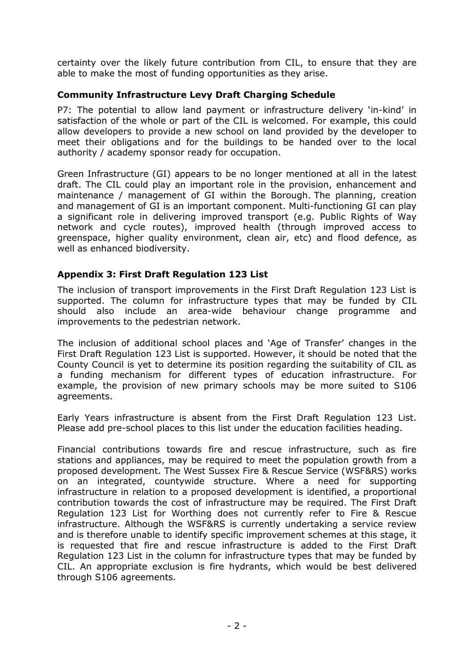certainty over the likely future contribution from CIL, to ensure that they are able to make the most of funding opportunities as they arise.

## **Community Infrastructure Levy Draft Charging Schedule**

P7: The potential to allow land payment or infrastructure delivery 'in-kind' in satisfaction of the whole or part of the CIL is welcomed. For example, this could allow developers to provide a new school on land provided by the developer to meet their obligations and for the buildings to be handed over to the local authority / academy sponsor ready for occupation.

Green Infrastructure (GI) appears to be no longer mentioned at all in the latest draft. The CIL could play an important role in the provision, enhancement and maintenance / management of GI within the Borough. The planning, creation and management of GI is an important component. Multi-functioning GI can play a significant role in delivering improved transport (e.g. Public Rights of Way network and cycle routes), improved health (through improved access to greenspace, higher quality environment, clean air, etc) and flood defence, as well as enhanced biodiversity.

## **Appendix 3: First Draft Regulation 123 List**

The inclusion of transport improvements in the First Draft Regulation 123 List is supported. The column for infrastructure types that may be funded by CIL should also include an area-wide behaviour change programme and improvements to the pedestrian network.

The inclusion of additional school places and 'Age of Transfer' changes in the First Draft Regulation 123 List is supported. However, it should be noted that the County Council is yet to determine its position regarding the suitability of CIL as a funding mechanism for different types of education infrastructure. For example, the provision of new primary schools may be more suited to S106 agreements.

Early Years infrastructure is absent from the First Draft Regulation 123 List. Please add pre-school places to this list under the education facilities heading.

Financial contributions towards fire and rescue infrastructure, such as fire stations and appliances, may be required to meet the population growth from a proposed development. The West Sussex Fire & Rescue Service (WSF&RS) works on an integrated, countywide structure. Where a need for supporting infrastructure in relation to a proposed development is identified, a proportional contribution towards the cost of infrastructure may be required. The First Draft Regulation 123 List for Worthing does not currently refer to Fire & Rescue infrastructure. Although the WSF&RS is currently undertaking a service review and is therefore unable to identify specific improvement schemes at this stage, it is requested that fire and rescue infrastructure is added to the First Draft Regulation 123 List in the column for infrastructure types that may be funded by CIL. An appropriate exclusion is fire hydrants, which would be best delivered through S106 agreements.